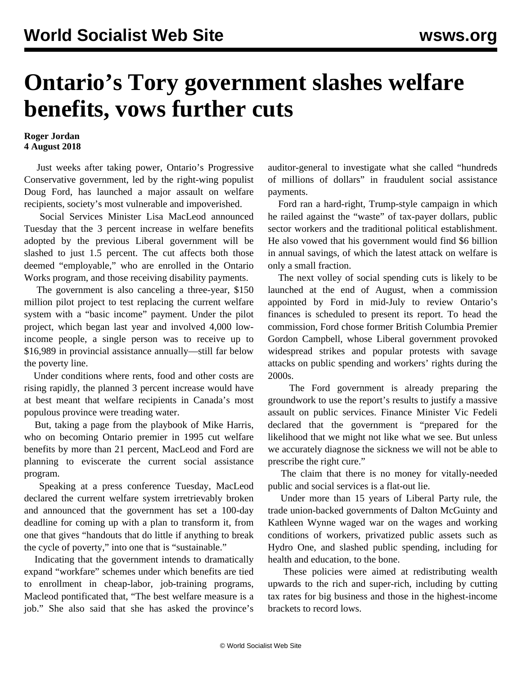## **Ontario's Tory government slashes welfare benefits, vows further cuts**

## **Roger Jordan 4 August 2018**

 Just weeks after taking power, Ontario's Progressive Conservative government, led by the right-wing populist Doug Ford, has launched a major assault on welfare recipients, society's most vulnerable and impoverished.

 Social Services Minister Lisa MacLeod announced Tuesday that the 3 percent increase in welfare benefits adopted by the previous Liberal government will be slashed to just 1.5 percent. The cut affects both those deemed "employable," who are enrolled in the Ontario Works program, and those receiving disability payments.

 The government is also canceling a three-year, \$150 million pilot project to test replacing the current welfare system with a "basic income" payment. Under the pilot project, which began last year and involved 4,000 lowincome people, a single person was to receive up to \$16,989 in provincial assistance annually—still far below the poverty line.

 Under conditions where rents, food and other costs are rising rapidly, the planned 3 percent increase would have at best meant that welfare recipients in Canada's most populous province were treading water.

 But, taking a page from the playbook of Mike Harris, who on becoming Ontario premier in 1995 cut welfare benefits by more than 21 percent, MacLeod and Ford are planning to eviscerate the current social assistance program.

 Speaking at a press conference Tuesday, MacLeod declared the current welfare system irretrievably broken and announced that the government has set a 100-day deadline for coming up with a plan to transform it, from one that gives "handouts that do little if anything to break the cycle of poverty," into one that is "sustainable."

 Indicating that the government intends to dramatically expand "workfare" schemes under which benefits are tied to enrollment in cheap-labor, job-training programs, Macleod pontificated that, "The best welfare measure is a job." She also said that she has asked the province's auditor-general to investigate what she called "hundreds of millions of dollars" in fraudulent social assistance payments.

 Ford ran a hard-right, Trump-style campaign in which he railed against the "waste" of tax-payer dollars, public sector workers and the traditional political establishment. He also vowed that his government would find \$6 billion in annual savings, of which the latest attack on welfare is only a small fraction.

 The next volley of social spending cuts is likely to be launched at the end of August, when a commission appointed by Ford in mid-July to review Ontario's finances is scheduled to present its report. To head the commission, Ford chose former British Columbia Premier Gordon Campbell, whose Liberal government provoked widespread strikes and popular protests with savage attacks on public spending and workers' rights during the 2000s.

 The Ford government is already preparing the groundwork to use the report's results to justify a massive assault on public services. Finance Minister Vic Fedeli declared that the government is "prepared for the likelihood that we might not like what we see. But unless we accurately diagnose the sickness we will not be able to prescribe the right cure."

 The claim that there is no money for vitally-needed public and social services is a flat-out lie.

 Under more than 15 years of Liberal Party rule, the trade union-backed governments of Dalton McGuinty and Kathleen Wynne waged war on the wages and working conditions of workers, privatized public assets such as Hydro One, and slashed public spending, including for health and education, to the bone.

 These policies were aimed at redistributing wealth upwards to the rich and super-rich, including by cutting tax rates for big business and those in the highest-income brackets to record lows.